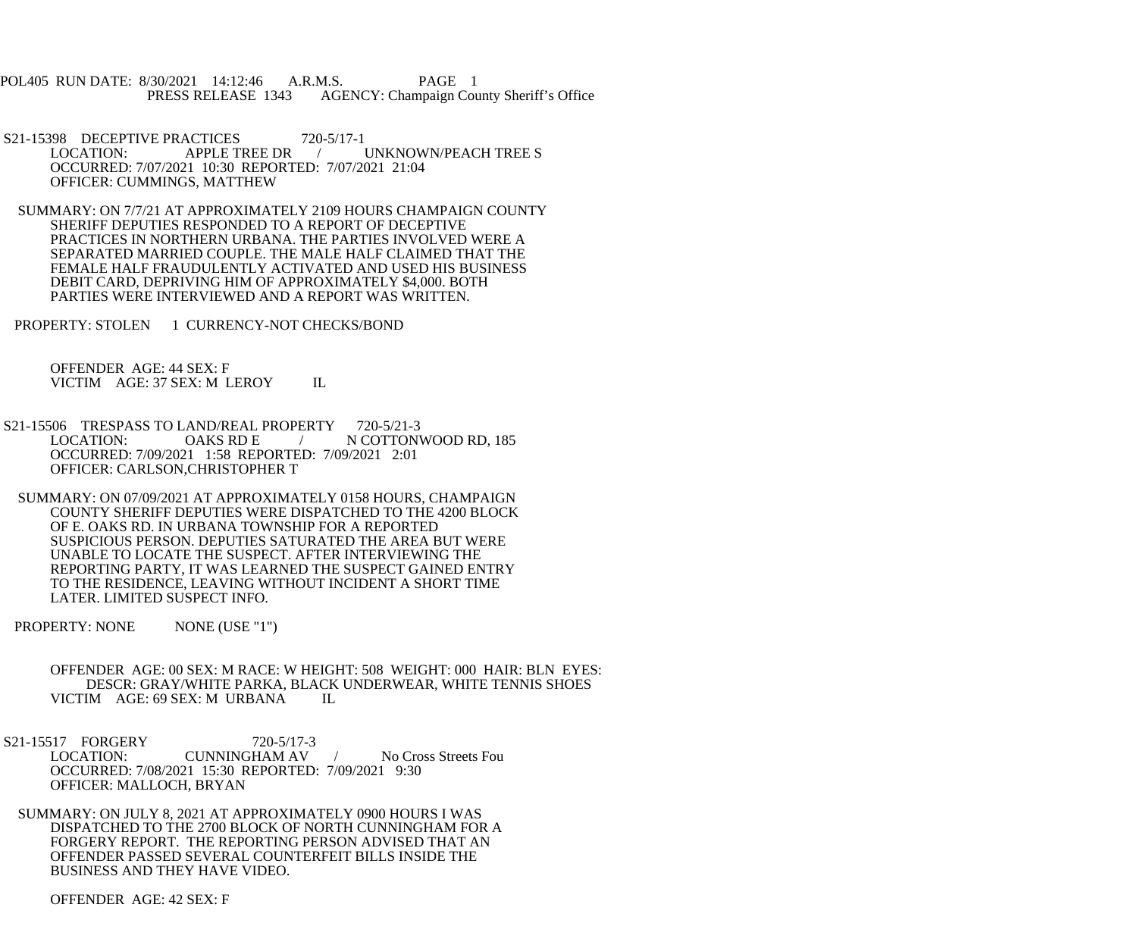POL405 RUN DATE: 8/30/2021 14:12:46 A.R.M.S. PAGE 1 PRESS RELEASE 1343 AGENCY: Champaign County Sheriff's Office

- S21-15398 DECEPTIVE PRACTICES 720-5/17-1<br>LOCATION: APPLE TREE DR UNKNOWN/PEACH TREE S OCCURRED: 7/07/2021 10:30 REPORTED: 7/07/2021 21:04 OFFICER: CUMMINGS, MATTHEW
- SUMMARY: ON 7/7/21 AT APPROXIMATELY 2109 HOURS CHAMPAIGN COUNTY SHERIFF DEPUTIES RESPONDED TO A REPORT OF DECEPTIVE PRACTICES IN NORTHERN URBANA. THE PARTIES INVOLVED WERE A SEPARATED MARRIED COUPLE. THE MALE HALF CLAIMED THAT THE FEMALE HALF FRAUDULENTLY ACTIVATED AND USED HIS BUSINESS DEBIT CARD, DEPRIVING HIM OF APPROXIMATELY \$4,000. BOTH PARTIES WERE INTERVIEWED AND A REPORT WAS WRITTEN.

PROPERTY: STOLEN 1 CURRENCY-NOT CHECKS/BOND

 OFFENDER AGE: 44 SEX: F VICTIM AGE: 37 SEX: M LEROY IL

- S21-15506 TRESPASS TO LAND/REAL PROPERTY 720-5/21-3<br>LOCATION: OAKS RD E / N COTTON *L* N COTTONWOOD RD, 185 OCCURRED: 7/09/2021 1:58 REPORTED: 7/09/2021 2:01 OFFICER: CARLSON,CHRISTOPHER T
- SUMMARY: ON 07/09/2021 AT APPROXIMATELY 0158 HOURS, CHAMPAIGN COUNTY SHERIFF DEPUTIES WERE DISPATCHED TO THE 4200 BLOCK OF E. OAKS RD. IN URBANA TOWNSHIP FOR A REPORTED SUSPICIOUS PERSON. DEPUTIES SATURATED THE AREA BUT WERE UNABLE TO LOCATE THE SUSPECT. AFTER INTERVIEWING THE REPORTING PARTY, IT WAS LEARNED THE SUSPECT GAINED ENTRY TO THE RESIDENCE, LEAVING WITHOUT INCIDENT A SHORT TIME LATER. LIMITED SUSPECT INFO.

PROPERTY: NONE NONE (USE "1")

- OFFENDER AGE: 00 SEX: M RACE: W HEIGHT: 508 WEIGHT: 000 HAIR: BLN EYES: DESCR: GRAY/WHITE PARKA, BLACK UNDERWEAR, WHITE TENNIS SHOES VICTIM AGE: 69 SEX: M URBANA IL
- S21-15517 FORGERY 720-5/17-3<br>LOCATION: CUNNINGHAM AV LOCATION: CUNNINGHAM AV / No Cross Streets Fou OCCURRED: 7/08/2021 15:30 REPORTED: 7/09/2021 9:30 OFFICER: MALLOCH, BRYAN
	- SUMMARY: ON JULY 8, 2021 AT APPROXIMATELY 0900 HOURS I WAS DISPATCHED TO THE 2700 BLOCK OF NORTH CUNNINGHAM FOR A FORGERY REPORT. THE REPORTING PERSON ADVISED THAT AN OFFENDER PASSED SEVERAL COUNTERFEIT BILLS INSIDE THE BUSINESS AND THEY HAVE VIDEO.

OFFENDER AGE: 42 SEX: F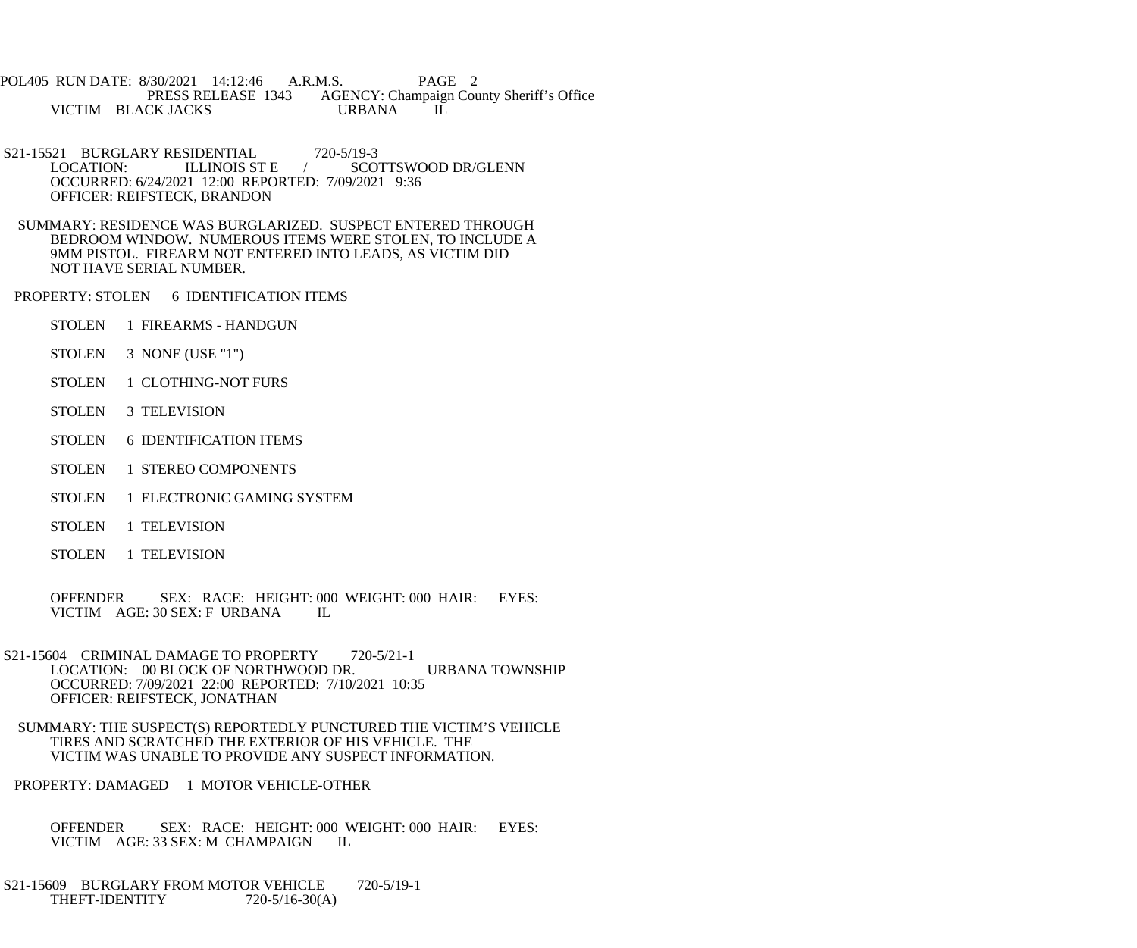POL405 RUN DATE: 8/30/2021 14:12:46 A.R.M.S. PAGE 2<br>PRESS RELEASE 1343 AGENCY: Champaign Cou AGENCY: Champaign County Sheriff's Office<br>URBANA IL VICTIM BLACK JACKS URBANA

- S21-15521 BURGLARY RESIDENTIAL 720-5/19-3<br>LOCATION: ILLINOIS ST E / SCO LOCATION: ILLINOIS ST E / SCOTTSWOOD DR/GLENN OCCURRED: 6/24/2021 12:00 REPORTED: 7/09/2021 9:36 OFFICER: REIFSTECK, BRANDON
- SUMMARY: RESIDENCE WAS BURGLARIZED. SUSPECT ENTERED THROUGH BEDROOM WINDOW. NUMEROUS ITEMS WERE STOLEN, TO INCLUDE A 9MM PISTOL. FIREARM NOT ENTERED INTO LEADS, AS VICTIM DID NOT HAVE SERIAL NUMBER.
- PROPERTY: STOLEN 6 IDENTIFICATION ITEMS
	- STOLEN 1 FIREARMS HANDGUN
	- STOLEN 3 NONE (USE "1")
	- STOLEN 1 CLOTHING-NOT FURS
	- STOLEN 3 TELEVISION
	- STOLEN 6 IDENTIFICATION ITEMS
	- STOLEN 1 STEREO COMPONENTS
	- STOLEN 1 ELECTRONIC GAMING SYSTEM
	- STOLEN 1 TELEVISION
	- STOLEN 1 TELEVISION

 OFFENDER SEX: RACE: HEIGHT: 000 WEIGHT: 000 HAIR: EYES: VICTIM AGE: 30 SEX: F URBANA IL

- S21-15604 CRIMINAL DAMAGE TO PROPERTY 720-5/21-1 LOCATION: 00 BLOCK OF NORTHWOOD DR. URBANA TOWNSHIP OCCURRED: 7/09/2021 22:00 REPORTED: 7/10/2021 10:35 OFFICER: REIFSTECK, JONATHAN
	- SUMMARY: THE SUSPECT(S) REPORTEDLY PUNCTURED THE VICTIM'S VEHICLE TIRES AND SCRATCHED THE EXTERIOR OF HIS VEHICLE. THE VICTIM WAS UNABLE TO PROVIDE ANY SUSPECT INFORMATION.
- PROPERTY: DAMAGED 1 MOTOR VEHICLE-OTHER
	- OFFENDER SEX: RACE: HEIGHT: 000 WEIGHT: 000 HAIR: EYES: VICTIM AGE: 33 SEX: M CHAMPAIGN IL VICTIM AGE: 33 SEX: M CHAMPAIGN
- S21-15609 BURGLARY FROM MOTOR VEHICLE 720-5/19-1 THEFT-IDENTITY  $720-5/16-30(A)$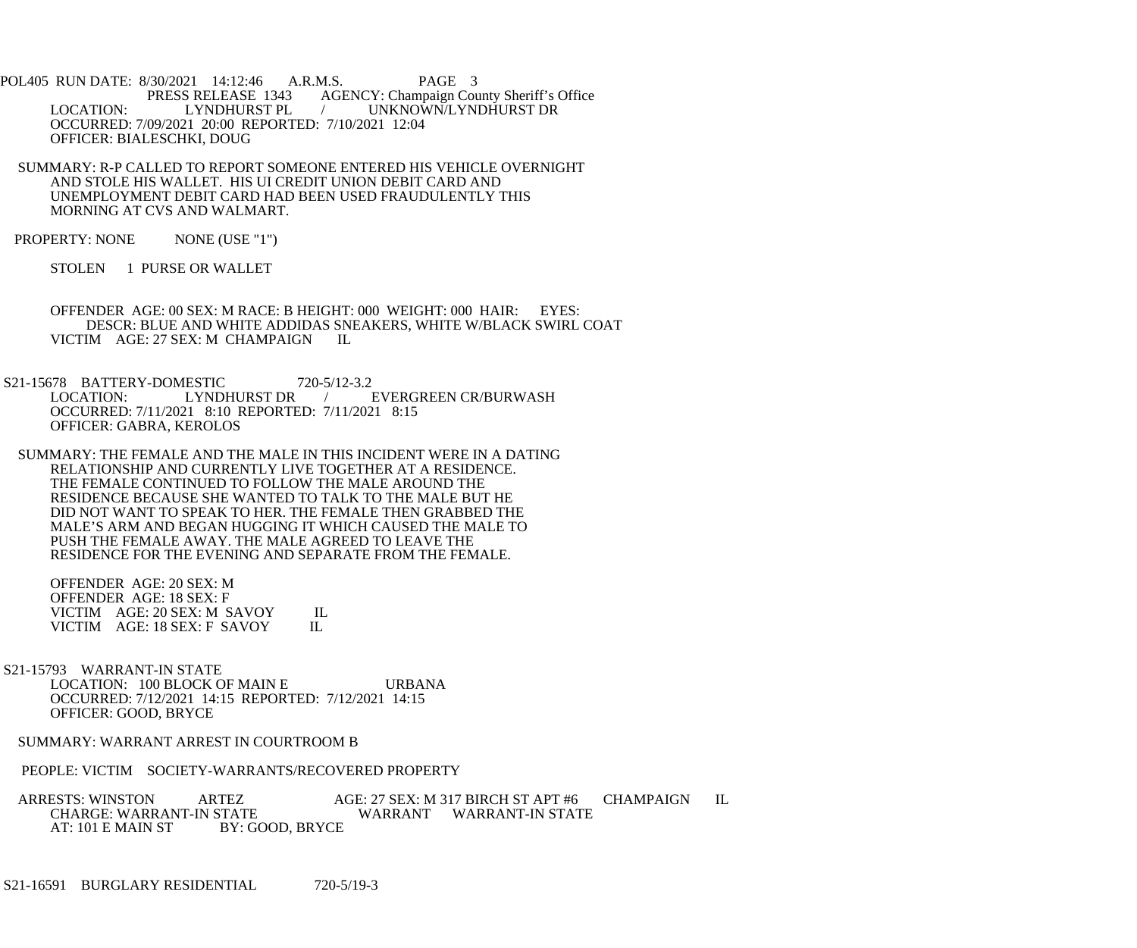POL405 RUN DATE: 8/30/2021 14:12:46 A.R.M.S. PAGE 3<br>PRESS RELEASE 1343 AGENCY: Champaign Cou S RELEASE 1343 AGENCY: Champaign County Sheriff's Office<br>LYNDHURST PL / UNKNOWN/LYNDHURST DR LOCATION: LYNDHURST PL / UNKNOWN/LYNDHURST DR OCCURRED: 7/09/2021 20:00 REPORTED: 7/10/2021 12:04 OFFICER: BIALESCHKI, DOUG

 SUMMARY: R-P CALLED TO REPORT SOMEONE ENTERED HIS VEHICLE OVERNIGHT AND STOLE HIS WALLET. HIS UI CREDIT UNION DEBIT CARD AND UNEMPLOYMENT DEBIT CARD HAD BEEN USED FRAUDULENTLY THIS MORNING AT CVS AND WALMART.

PROPERTY: NONE NONE (USE "1")

STOLEN 1 PURSE OR WALLET

 OFFENDER AGE: 00 SEX: M RACE: B HEIGHT: 000 WEIGHT: 000 HAIR: EYES: DESCR: BLUE AND WHITE ADDIDAS SNEAKERS, WHITE W/BLACK SWIRL COAT VICTIM AGE: 27 SEX: M CHAMPAIGN IL

S21-15678 BATTERY-DOMESTIC 720-5/12-3.2<br>LOCATION: LYNDHURST DR / EVERGREEN CR/BURWASH OCCURRED: 7/11/2021 8:10 REPORTED: 7/11/2021 8:15 OFFICER: GABRA, KEROLOS

 SUMMARY: THE FEMALE AND THE MALE IN THIS INCIDENT WERE IN A DATING RELATIONSHIP AND CURRENTLY LIVE TOGETHER AT A RESIDENCE. THE FEMALE CONTINUED TO FOLLOW THE MALE AROUND THE RESIDENCE BECAUSE SHE WANTED TO TALK TO THE MALE BUT HE DID NOT WANT TO SPEAK TO HER. THE FEMALE THEN GRABBED THE MALE'S ARM AND BEGAN HUGGING IT WHICH CAUSED THE MALE TO PUSH THE FEMALE AWAY. THE MALE AGREED TO LEAVE THE RESIDENCE FOR THE EVENING AND SEPARATE FROM THE FEMALE.

 OFFENDER AGE: 20 SEX: M OFFENDER AGE: 18 SEX: F VICTIM AGE: 20 SEX: M SAVOY IL<br>VICTIM AGE: 18 SEX: F SAVOY IL VICTIM AGE: 18 SEX: F SAVOY

 S21-15793 WARRANT-IN STATE LOCATION: 100 BLOCK OF MAIN E URBANA OCCURRED: 7/12/2021 14:15 REPORTED: 7/12/2021 14:15 OFFICER: GOOD, BRYCE

SUMMARY: WARRANT ARREST IN COURTROOM B

PEOPLE: VICTIM SOCIETY-WARRANTS/RECOVERED PROPERTY

ARRESTS: WINSTON ARTEZ AGE: 27 SEX: M 317 BIRCH ST APT #6 CHAMPAIGN IL CHARGE: WARRANT-IN STATE WARRANT WARRANT-IN STATE CHARGE: WARRANT-IN STATE WARRANT WARRANT-IN STATE<br>AT: 101 E MAIN ST BY: GOOD. BRYCE BY: GOOD, BRYCE

S21-16591 BURGLARY RESIDENTIAL 720-5/19-3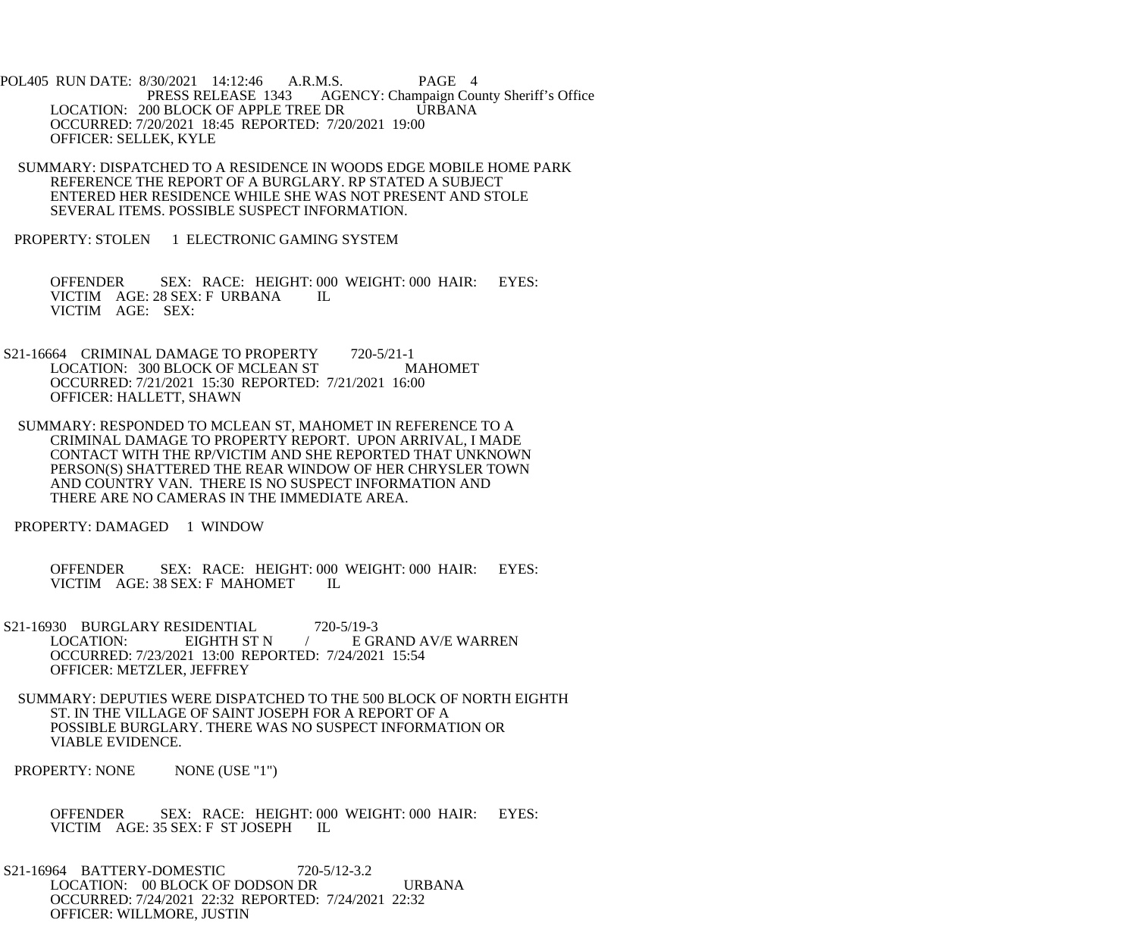POL405 RUN DATE: 8/30/2021 14:12:46 A.R.M.S. PAGE 4<br>PRESS RELEASE 1343 AGENCY: Champaign Cou AGENCY: Champaign County Sheriff's Office LOCATION: 200 BLOCK OF APPLE TREE DR URBANA OCCURRED: 7/20/2021 18:45 REPORTED: 7/20/2021 19:00 OFFICER: SELLEK, KYLE

 SUMMARY: DISPATCHED TO A RESIDENCE IN WOODS EDGE MOBILE HOME PARK REFERENCE THE REPORT OF A BURGLARY. RP STATED A SUBJECT ENTERED HER RESIDENCE WHILE SHE WAS NOT PRESENT AND STOLE SEVERAL ITEMS. POSSIBLE SUSPECT INFORMATION.

PROPERTY: STOLEN 1 ELECTRONIC GAMING SYSTEM

 OFFENDER SEX: RACE: HEIGHT: 000 WEIGHT: 000 HAIR: EYES: VICTIM AGE: 28 SEX: F URBANA IL VICTIM AGE: SEX:

S21-16664 CRIMINAL DAMAGE TO PROPERTY 720-5/21-1<br>LOCATION: 300 BLOCK OF MCLEAN ST MAHOMET LOCATION: 300 BLOCK OF MCLEAN ST OCCURRED: 7/21/2021 15:30 REPORTED: 7/21/2021 16:00 OFFICER: HALLETT, SHAWN

 SUMMARY: RESPONDED TO MCLEAN ST, MAHOMET IN REFERENCE TO A CRIMINAL DAMAGE TO PROPERTY REPORT. UPON ARRIVAL, I MADE CONTACT WITH THE RP/VICTIM AND SHE REPORTED THAT UNKNOWN PERSON(S) SHATTERED THE REAR WINDOW OF HER CHRYSLER TOWN AND COUNTRY VAN. THERE IS NO SUSPECT INFORMATION AND THERE ARE NO CAMERAS IN THE IMMEDIATE AREA.

PROPERTY: DAMAGED 1 WINDOW

 OFFENDER SEX: RACE: HEIGHT: 000 WEIGHT: 000 HAIR: EYES: VICTIM AGE: 38 SEX: F MAHOMET IL

S21-16930 BURGLARY RESIDENTIAL 720-5/19-3<br>LOCATION: EIGHTH ST N / EGH EIGHTH ST N  $/$  E GRAND AV/E WARREN OCCURRED: 7/23/2021 13:00 REPORTED: 7/24/2021 15:54 OFFICER: METZLER, JEFFREY

 SUMMARY: DEPUTIES WERE DISPATCHED TO THE 500 BLOCK OF NORTH EIGHTH ST. IN THE VILLAGE OF SAINT JOSEPH FOR A REPORT OF A POSSIBLE BURGLARY. THERE WAS NO SUSPECT INFORMATION OR VIABLE EVIDENCE.

PROPERTY: NONE NONE (USE "1")

 OFFENDER SEX: RACE: HEIGHT: 000 WEIGHT: 000 HAIR: EYES: VICTIM AGE: 35 SEX: F ST JOSEPH IL

 S21-16964 BATTERY-DOMESTIC 720-5/12-3.2 LOCATION: 00 BLOCK OF DODSON DR URBANA OCCURRED: 7/24/2021 22:32 REPORTED: 7/24/2021 22:32 OFFICER: WILLMORE, JUSTIN